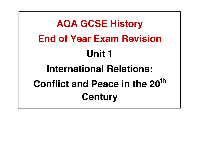**AQA GCSE History End of Year Exam Revision Unit 1 International Relations: Conflict and Peace in the 20th Century**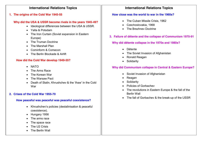# **International Relations Topics**

#### **1. The origins of the Cold War 1945-55**

#### **Why did the USA & USSR become rivals in the years 1945-49?**

- Ideological differences between the USA & USSR.
- Yalta & Potsdam
- The Iron Curtain (Soviet expansion in Eastern Europe)
- The Truman Doctrine
- The Marshall Plan
- Cominform & Comecon
- The Berlin Blockade & Airlift

#### **How did the Cold War develop 1949-55?**

- $\bullet$  NATO
- The Arms Race
- The Korean War
- The Warsaw Pact
- Death of Stalin, Khrushchev & the 'thaw' in the Cold War

### **2. Crises of the Cold War 1955-70**

#### **How peaceful was peaceful was peaceful coexistence?**

- Khrushchev's policies (destalinisation & peaceful coexistence).
- Hungary 1956
- The arms race
- The space race
- The U<sub>2</sub> Crisis
- The Berlin Wall

# **International Relations Topics**

#### **How close was the world to war in the 1960s?**

- The Cuban Missile Crisis, 1962
- Czechoslovakia, 1968
- The Brezhnev Doctrine
- **3. Failure of détente and the collapse of Communism 1970-91**

#### **Why did détente collapse in the 1970s and 1980s?**

- Détente
- The Soviet Invasion of Afghanistan
- Ronald Reagan
- Solidarity

### **Why did Communism collapse in Central & Eastern Europe?**

- Soviet Invasion of Afghanistan
- Reagan
- Solidarity
- x Policies of Gorbachev
- The revolutions in Eastern Europe & the fall of the Berlin Wall
- The fall of Gorbachev & the break-up of the USSR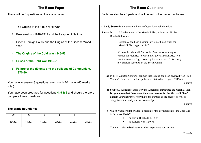#### **The Exam Paper**

There will be 6 questions on the exam paper:

- 1. The Origins of the First World War.
- 2. Peacemaking 1918-1919 and the League of Nations.
- 3. Hitler"s Foreign Policy and the Origins of the Second World War.
- **4. The Origins of the Cold War 1945-55**
- **5. Crises of the Cold War 1955-70**
- **6. Failure of the détente and the collapse of Communism, 1970-90.**

You have to answer 3 questions, each worth 20 marks (60 marks in total).

You have been prepared for questions **4, 5 & 6** and should therefore complete these questions.

# **The grade boundaries:**

| $A^*$ | ⌒     | B     |       |       |       |
|-------|-------|-------|-------|-------|-------|
| 54/60 | 48/60 | 42/60 | 36/60 | 30/60 | 24/60 |
|       |       |       |       |       |       |

# **The Exam Questions**

Each question has 3 parts and will be laid out in the format below:

4. Study **Source D** and answer all parts of Question 4 which follow

**Source D** A Soviet view of the Marshall Plan, written in 1988 by Dimitri Sukhanov.

> Sukhanov had been a senior Soviet politician when the Marshall Plan began in 1947.

We saw the Marshall Plan as the Americans wanting to control the countries to which they gave Marshall Aid. We saw it as an act of aggression by the Americans. This is why it was never accepted by the Soviet Union.

**(a)** In 1946 Winston Churchill claimed that Europe had been divided by an 'Iron Curtain'. Describe how Europe became divided in the years 1945-46.

*4 marks*

**(b) Source D** suggests reasons why the Americans introduced the Marshall Plan **Do you agree that these were the main reasons for the Marshall Plan?** Explain your answer by referring to the purpose of the source, as well as using its content and your own knowledge.

*6 marks*

- **(c)** Which was more important as a reason for the development of the Cold War in the years 1948-55:
	- The Berlin Blockade 1948-49
	- The Korean War 1950-53?

You must refer to **both** reasons when explaining your answer.

*10 marks*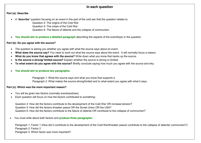# **In each question**

#### **Part (a): Describe**

x A **"describe"** question focusing on an event in the part of the cold war that the question relates to.

Question 4: The origins of the Cold War

Question 5: The crises of the Cold War

Question 6: The failure of détente and the collapse of communism.

x **You should aim to produce a detailed paragraph** describing the aspects of the event/topic in the question.

#### **Part (b): Do you agree with the source?**

- The question is asking you whether you agree with what the source says about an event.
- What does the source say? You need to work out what the source says about the event. It will normally focus a reason.
- x **What do you know that agrees with the source?** Write down what you know that backs up the source.
- **Is the source a strong/ limited source?** Explain whether the source is strong or limited.
- x **To what extent do you agree with the source?** Briefly conclude saying how much you agree with the source and why.
- x **You should aim to produce two paragraphs:**

Paragraph 1: What the source says and what you know that supports it. Paragraph 2: What makes the source strong/limited and to what extent you agree with what it says.

#### **Part (c): Which was the more important reason?**

- You will be given two factors (normally events/policies)
- Each question will focus on how the factors contributed to something:

Question 4: How did the factors contribute to the development of the Cold War OR increase tension? Question 5: How did the factors threaten peace OR the Soviet Union OR the USA? Question 6: How did the factors contribute to the failure of detente OR contribute to the collapse of communism?

x You must write about both factors and **produce three paragraphs:**

Paragraph 1: Factor 1 (How did it contribute to the development of the Cold War/threaten peace/ contribute to the collapse of detente/ communism?) Paragraph 2: Factor 2 Paragraph 3: Which factor was more important?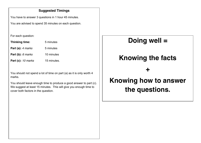# **Suggested Timings**

You have to answer 3 questions in 1 hour 45 minutes.

You are advised to spend 35 minutes on each question.

For each question:

| Thinking time: | 5 minutes |
|----------------|-----------|
|----------------|-----------|

**Part (a):** 4 marks 5 minutes

**Part (b):**  $6$  marks 10 minutes

**Part (c):** 10 marks 15 minutes.

You should not spend a lot of time on part (a) as it is only worth 4 marks.

You should leave enough time to produce a good answer to part (c). We suggest at least 15 minutes. This will give you enough time to cover both factors in the question.

# **Doing well =**

# **Knowing the facts**

# **+**

# **Knowing how to answer the questions.**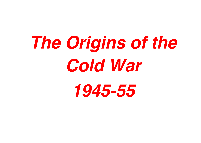# *The Origins of the Cold War 1945-55*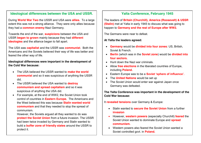#### **Ideological differences between the USA and USSR.**

During **World War Two** the USSR and USA were **allies.** To a large extent this was not a strong alliance. They were only allies because they had a **common enemy**-Nazi Germany.

Towards the end of the war, **suspicions** between the USA and USSR **began to grown** mainly because they had **different ideologies** and the alliance began to fall apart.

The USA was **capitalist** and the USSR was **communist**. Both the Americans and the Soviets believed their way of life was better and feared the other way of life.

**Ideological differences were important in the development of the Cold War because:**

- **•** The USA believed the USSR wanted to **make the world communist** and so it was suspicious of anything the USSR did.
- **•** The USSR believed the USA wanted to **destroy communism and spread capitalism** and so it was suspicious of anything the USA did.
- For example, at the end of WW2, the Soviet Union took control of countries in **Eastern Europe.** The Americans and the West believed this was because **Stalin wanted world communism** and that they needed to stop the spread of communism.

However, the Soviets argued all they wanted to do was **protect the Soviet Union** from a future invasion. The USSR had been twice invaded by Germany and Stalin wanted to build a **buffer zone of friendly states** around the USSR to protect it.

### **Yalta Conference, February 1945**

The leaders of **Britain (Churchill), America (Roosevelt) & USSR (Stalin)** met at Yalta in early 1945 to discuss what was going to happen to **Germany and the rest of Europe after WW2.**

The Germans were near to defeat.

#### **At Yalta the leaders agreed:**

- x **Germany** would be **divided into four zones**: US, British, Soviet & French.
- **Berlin** (which was in the **Soviet zone**) would be **divided into four sectors.**
- $\bullet$  Hunt down the Nazi war criminals.
- **EXECT** Allow **free elections** in the liberated countries of Europe, including **Poland.**
- **Eastern Europe was to be a Soviet 'sphere of influence'.**
- **•** The **United Nations** would be set up
- The Soviet Union would enter war against Japan once Germany was defeated.

**The Yalta Conference was important in the development of the Cold War because:**

It **revealed tensions** over Germany & Europe:

- Stalin wanted to **secure the Soviet Union** from a further **invasion**
- x However, **western powers** (especially Churchill) **feared** the Soviet Union wanted to dominate Europe and **spread communism.**
- Western powers also feared the Soviet Union wanted a Soviet controlled govt. in **Poland.**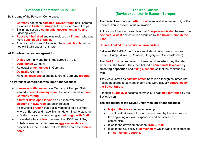#### **Potsdam Conference, July 1945**

By the time of the Potsdam Conference:

- **Germany** had been **defeated; Soviet troops** had liberated countries in **Eastern Europe** but had not removed troops.
- **EXECT:** Stalin had set up a **communist government in Poland** (ignoring Yalta).
- **Roosevelt had died** and was replaced by **Truman** who was more **suspicious of Stalin.**
- **•** America had successfully tested the **atomic bomb** but had not told Stalin about it until later.

#### **At Potsdam the leaders agreed to:**

- **Divide** Germany and Berlin (as agreed at Yalta)
- **Demilitarise** Germany
- x Re-establish **democracy** in Germany
- **De-nazify** Germany.
- x Make **all decisions** about the future of Germany **together.**

#### **The Potsdam Conference was important because:**

- **•** It **revealed differences** over Germany & Europe: Stalin wanted to **keep Germany weak,** the west wanted to **make Germany strong.**
- **•** It **further developed tension** as Truman wanted free **elections in E.Europe** but Stalin refused.
- **•** It convinced **Truman** that Stalin wanted to take over the whole of Europe and made Truman determined to stand up to Stalin. He said he was going to **"get tough" with Stalin.**
- **•** It revealed a lack of **trust** between the USSR and USA: Potsdam saw both sides take an **aggressive stance** especially as the USA had not told Stalin about the **atomic bomb.**

# **The Iron Curtain (Soviet expansion in Eastern Europe)**

The Soviet Union saw a **"buffer zone"** as essential to the security of the Soviet Union to prevent a future invasion.

At the end of the war it was clear that **Europe was divided** between the **democratic west** and countries occupied by **the Soviet Union in the East.**

#### **Churchill called this division an iron curtain.**

Between 1945 -1948 the Soviets went about taking over countries in Eastern Europe (Poland, Romania, Hungary and Czechoslovakia).

The **Red Army** had remained in these countries when they liberated them from the Nazis. They then helped a **communist takeover**, by **arresting opposition** and **fixing elections** so that the communists won.

They were known as **satellite states** because although countries like Poland appeared to be independent they were actually **controlled by the Soviet Union.**

Although **Yugoslavia** became communist, it was **not controlled** by the Soviet Union.

**The expansion of the Soviet Union was important because:**

- **Major differences** began to develop.
- The Soviet takeover of E.Europe was seen by the West as just the beginning of Soviet expansion and the spread of communism.
- x It led to the development of an **"Iron Curtain"**
- **•** It led to the US policy of **containment** which was first expressed in **The Truman Doctrine.**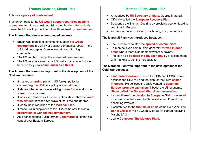# **Truman Doctrine, March 1947**

#### This was a **policy of containment.**

Truman announced the **US would support countries needing protection** from threats inside/outside their border. He basically meant the US would protect countries threatened by **communism**.

#### **The Truman Doctrine was announced because:**

- **Example 3 Britain was unable to continue to support the Greek government** in a civil war against communist rebels. If the USA did not step in, Greece was at risk of turning communist.
- **•** The US wanted to **stop the spread of communism.**
- The US was concerned about Soviet expansion in Europe because they saw **communism as a threat.**

**The Truman Doctrine was important in the development of the Cold war because:**

- **•** It marked a **turning point** in US foreign policy by **committing the USA** to a policy of **containment.**
- **•** It showed that America was willing to **use force** to stop the spread of communism.
- **•** It increased tension as Truman publicly stated that the **world was divided** between two ways of life: Free and un-free.
- x It led to the introduction of the **Marshall Plan.**
- It made Stalin suspicious of the USA as he saw this as a **declaration of war against communism.**
- As a consequence Stalin formed **Cominform** to tighten his control over Eastern Europe.

# **Marshall Plan, June 1947**

- x Announced by **US Secretary of State,** George Marshall.
- **Officially called the European Recovery Plan.**
- Supported the Truman Doctrine by providing economic aid to countries in Europe
- Aid was in the form of cash, machinery, food, technology.

#### **The Marshall Plan was introduced because:**

- **•** The US wanted to stop the **spread of communism.**
- **EXECT** Truman believed communism generally **thrived in poor areas** where there high unemployment & poverty.
- **•** The plan also **boosted the US economy** by providing them with markets to sell their products to.

#### **The Marshall Plan was important in the development of the Cold War because:**

- **v** It **increased tension** between the USA and USSR Stalin accused the USA of using the plan for their own **selfish interests.** He believed the USA wanted to **dominate Europe**, **promote capitalism** & boost the US economy. *Stalin called the Marshall Plan dollar imperialism.*
- It strengthened the **division in Europe** as Stalin prevented European countries like Czechoslovakia and Poland from becoming involved.
- x It contributed to the **first major crisis** of the Cold War, **The Berlin Crisis of "48-49** when West Berlin started receiving Marshall Aid.
- Led to **Comecon (The Molotov Plan).**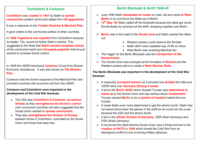### **Cominform & Comecon**

**Cominform** was **created in 1947** by Stalin to **spread communism** protect communist states from **US aggression.**

It was a response to the **Truman Doctrine & Marshall Plan.**

It gave orders to the communist parties of other countries.

In **1948 Yugoslavia was expelled** from Cominform because its leader, Tito, would not follow Stalin"s wishes. This suggested to the West that **Stalin wanted complete control** of the communist world and **increased suspicion** that he just wanted to increase Soviet control.

In 1949 the USSR introduced **Comecon** (Council for Mutual Economic Assistance). It was also known as **The Molotov Plan.**

Comecon was the Soviet response to the Marshall Plan and provided countries with economic aid from the USSR.

**Comecon and Cominform were important in the development of the Cold War because:**

- x The USA saw **Cominform & Comecon as serious threats** as they **strengthened the Soviet"s control** over communist countries and also suggested that the Soviet Union wanted to **spread communism.**
- x They also **strengthened the division of Europe** between those in Cominform, controlled by the Soviet Union and those that were free.

# **Berlin Blockade & Airlift 1948-49**

- x June 1948 Stalin **blockaded all routes** by road, rail and canal **to West Berlin** to try and force the Allies out of Berlin.
- **12<sup>th</sup> May '49** Stalin called off the blockade because the allies got round the blockade by carrying out the airlift, dropping supplies over Berlin.
- **Berlin** was in the heart of the **Soviet zone** and Stalin wanted the Allies out:
	- Western powers could observe the Soviets.
	- Stalin didn't want capitalist way of life on show.
	- West Berlin was receiving Marshall Aid.
- The trigger for the Berlin Blockade was the **introduction of the Deutschmark.**
- **•** The Soviet Union was annoyed at the formation of **Bizonia** and the Western powers plans to create a **West German State.**

**The Berlin Blockade was important in the development of the Cold War because:**

- **•** It massively **increased tension** as it showed how **divided** the USA and USSR were over **Germany (Strong V weak)**
- x It led to the **Berlin Airlift** which showed Truman was **determined to stand up** to the Soviet Union and was serious about **containment.** Truman wanted **Berlin** to be a **symbol of freedom** behind the Iron Curtain.
- It made Stalin even more determined to get the atomic bomb. Stalin had not dared shoot down the planes in the airlift as he could not risk a war because the USA had the atomic bomb.
- x It led to the **official division of Germany**: GDR (East Germany) and FGR (West Germany).
- It convinced the allies that the Soviet Union was a threat and led to the **creation of NATO** in **1949** which turned the Cold War from an ideological conflict to one involving military alliances.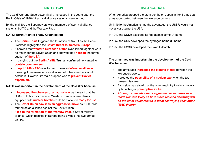# **NATO, 1949**

The Cold War and Superpower rivalry increased in the years after the Berlin Crisis of 1948-49 as rival alliance systems were formed.

By the mid 50s the Superpowers were members of two rival alliance systems, NATO and the Warsaw Pact.

#### **NATO: North Atlantic Treaty Organisation**

- The **Berlin Crisis** triggered the formation of NATO as the Berlin Blockade highlighted the **Soviet threat to Western Europe**.
- **•** It showed that **western European states** even joined together were no match for the Soviet Union and showed they **needed** the formal support of **the USA.**
- In carrying out the **Berlin Airlift**, Truman confirmed he wanted to **contain communism.**
- x In **April 1949 NATO** was formed. It was a **defensive alliance** meaning if one member was attacked all other members would defend it. However its main purpose was to **prevent Soviet expansion.**

### **NATO was important in the development of the Cold War because:**

- x It **increased the chances of an actual war** as it meant that the USA could build air bases in Western Europe where planes equipped with **nuclear bombs** could be stationed **ready for use.**
- **The Soviet Union saw it as an aggressive move** as NATO was formed as an alliance against the Soviet Union.
- **It led to the formation of the Warsaw Pact**, a Soviet military alliance, which resulted in Europe being divided into two armed camps.

# **The Arms Race**

When America dropped the atom bombs on Japan in 1945 a nuclear arms race started between the two superpowers.

Until 1949 the Americans had the advantage: the USSR would not risk a war against the USA.

In 1949 the USSR exploded its first atomic bomb (A-bomb)

In 1952 the USA developed the hydrogen bomb (H-bomb).

In 1953 the USSR developed their own H-Bomb.

**The arms race was important in the development of the Cold War because:**

- x The arms race **increased the climate of fear** between the two superpowers.
- **•** It created the **possibility of a nuclear war** when the two powers disagreed.
- Each side was afraid that the other might try to win a 'hot war' by launching a **pre-emptive strike.**
- x *Although some historians argue the nuclear arms race made war less likely as both sides realised declaring war on the other could results in them destroying each other (MAD theory).*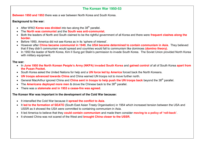# **The Korean War 1950-53**

**Between 1950 and 1953** there was a war between North Korea and South Korea.

#### **Background to the war:**

- After WW2 **Korea was divided** into two along the 38<sup>th</sup> parallel.
- x The **North was communist** and the **South was anti-communist.**
- Both the leaders of North and South claimed to be the rightful government of all Korea and there were frequent clashes along the **border.**
- Before 1950, America did not see Korea as in its 'sphere of interest'.
- x However after **China became communist in 1949**, the **USA became determined to contain communism in Asia**. They believed that if they didn"t communism would spread and countries would fall to communism like dominoes **(domino theory).**
- In 1950 the leader of North Korea, Kim II Sung got Stalin's permission to invade South Korea. The Soviet Union provided North Korea with military equipment.

#### **The war:**

- x In **June 1950 the North Korean People"s Army (NKPA) invaded South Korea** and **gained control** of all of South Korea **apart from the Pusan Pocket.**
- South Korea asked the United Nations for help and a **UN force led by America** forced back the North Koreans.
- **UN troops advanced towards China** and China warned UN troops not to move further north.
- General MacArthur ignored China and **China sent in troops to help push the UN troops back** beyond the 38<sup>th</sup> parallel.
- The **Americans deployed more men** & drove the Chinese back to the 38<sup>th</sup> parallel.
- x There was a **stalemate and in 1953 a cease-fire was agreed**.

**The Korean War was important in the development of the Cold War because:**

- **•** It intensified the Cold War because it **spread the conflict to Asia**.
- It led to the formation of **SEATO** (South East Asian Treaty Organisation) in 1954 which increased tension between the USA and USSR as it showed the USA were committed to containing communism in Asia.
- x It led America to believe that they **could contain communism** and made them consider **moving to a policy of "roll-back"**.
- It showed China was not scared of the West and **brought China closer to the USSR.**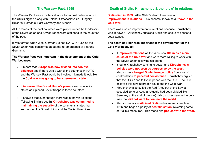#### **The Warsaw Pact, 1955**

The Warsaw Pact was a military alliance for mutual defence which the USSR signed along with Poland, Czechoslovakia, Hungary, Bulgaria, Romania, East Germany and Albania.

All the forces of the pact countries were placed under the leadership of the Soviet Union and Soviet troops were stationed in the countries of the pact.

It was formed when West Germany joined NATO in 1955 as the Soviet Union was concerned about the re-emergence of a strong Germany.

**The Warsaw Pact was important in the development of the Cold War because:**

- **•** It meant that **Europe was now divided into two rival alliances** and if there was a war all the countries in NATO and the Warsaw Pact would be involved. It made it look like the **Cold War was going to be a permanent state**.
- **It increased the Soviet Union's power** over its satellite states as it placed Soviet troops in those countries.
- It showed that even though there was a thaw in relations (following Stalin"s death) **Khrushchev was committed to maintaining the security** of the communist states that surrounded the Soviet Union and the Soviet Union itself.

## **Death of Stalin, Khrushchev & the "thaw" in relations**

**Stalin died in 1953.** After Stalin's death there was an **improvement in relations**. This became known as a **"thaw" in the Cold War.**

There was also an improvement in relations because Khrushchev was in power. Khrushchev criticised Stalin and spoke of peaceful coexistence.

**The death of Stalin was important in the development of the Cold War because:**

- x It **improved relations** as the West saw **Stalin as a main cause of the Cold War** and were more willing to work with the Soviet Union following his death.
- x It led to Khrushchev coming to power and **Khrushchev"s policies were not seen as aggressive by the West**. Khrushchev **changed Soviet foreign policy** from one of confrontation **to peaceful coexistence**. Khrushchev argued that the USSR had to live in peace with the USA. The USA believed this new approach could end the Cold War.
- x Khrushchev also pulled the Red Army out of the Soviet occupied zone of Austria. (Austria had been divided like Germany at the end of the war). Khrushchev seemed to be a man that **did not want to dominate the world.**
- x Khrushchev also **criticised Stalin** in his secret speech in 1956 and began a policy of **destalinisation,** reversing some of Stalin"s measures. This made him **popular with the West.**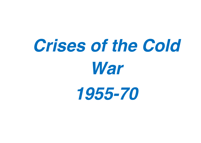# *Crises of the Cold War*

*1955-70*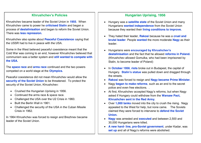# **Khrushchev"s Policies**

Khrushchev became leader of the Soviet Union in **1955**.When Khrushchev came to power he **criticised Stalin** and began a process of **destalinisation** and began to reform the Soviet Union. There was **less repression.**

Khrushchev also spoke about **Peaceful Coexistence** saying that the USSR had to live in peace with the USA.

Some in the West believed peaceful coexistence meant that the Cold War was coming to an end, however Khrushchev believed that communism was a better system and **still wanted to compete with the USA.**

The **space race** and **arms race** continued and the two powers competed on a world stage at the **Olympics.**

Peaceful coexistence did not mean Khrushchev would allow the **security of the Soviet Union** to be threatened. To protect the security of the Soviet Union, Khrushchev:

- Crushed the Hungarian Uprising in 1956.
- Continued the arms race & space race.
- Challenged the USA over the U2 Crisis in 1960.
- Built the Berlin Wall in 1961.
- Challenged the security of the USA in the Cuban Missile Crisis in 1962.

In 1964 Khrushchev was forced to resign and Brezhnev became leader of the Soviet Union.

# **Hungarian Uprising, 1956**

- Hungary was a **satellite state** of the Soviet Union and many Hungarians **wanted independence** from the Soviet Union because they wanted their **living conditions to improve.**
- **Example 2** They hated their leader, **Rakosi** because he was a **cruel and brutal leader**. People **wanted** the more moderate **Nagy** as their leader.
- x Hungarians were **encouraged by Khrushchev"s destalinisation** and the fact that he allowed **reforms in Poland.** (Khrushchev allowed Gomulka, who had been imprisoned by Stalin, to become leader of Poland)
- **•** In **October 1956**, **riots** broke out in Budapest, the capital of Hungary. **Stalin"s statue** was pulled down and dragged through the streets.
- **Rakosi** was forced to resign and **Nagy became Prime Minister.**
- Nagy **began to make reforms**, such as an end to the secret police and even free elections. .
- At first, Khrushchev accepted Nagy's reforms, but when Nagy asked if Hungary could withdraw from the **Warsaw Pact, Khrushchev sent in the Red Army.**
- Over **1,000 tanks** moved into the city to crush the rising. Nagy appealed to the West for help, but none came. The Soviets claimed they were forced to intervene to **defend the Soviet Union.**
- **Nagy** was arrested and **executed** and between 2,500 and 30,000 Hungarians were killed.
- x **A new hard- line, pro-Soviet government**, under Kadar, was set up and all of Nagy's reforms were abolished.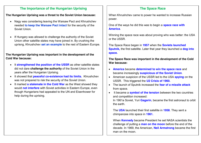# **The Importance of the Hungarian Uprising**

# **The Hungarian Uprising was a threat to the Soviet Union because:**

- Nagy was considering leaving the Warsaw Pact and Khrushchev needed **to keep the Warsaw Pact intact** for the security of the Soviet Union.
- If Hungary was allowed to challenge the authority of the Soviet Union other satellite states may have joined in. By crushing the uprisng, Khrushchev **set an example** to the rest of Eastern Europe.

### **The Hungarian Uprising was important in the development of the Cold War because:**

- **•** It **strengthened the position of the USSR** as other satellite states did not dare **challenge the authority** of the Soviet Union in the years after the Hungarian Uprising.
- It showed that **peaceful co-existence had its limits.** Khrushchev was not prepared to risk the security of the Soviet Union.
- It marked **a stalemate in the Cold War** as the West showed they would **not interfere** with Soviet activities in Eastern Europe, even though Hungarians had appealed to the UN and Eisenhower for help during the uprising.

# **The Space Race**

When Khrushchev came to power he wanted to increase Russian power.

One of the ways he did this was to begin a **space race with America**.

Winning the space race was about proving who was better: the USA or the USSR.

The Space Race began in **1957** when the **Soviets launched Sputnik,** the first satellite. Later that year they launched a **dog into space.**

**The Space Race was important in the development of the Cold War because:**

- **America** became **determined to win the space race** and became increasingly **suspicious of the Soviet Union**.
- **EXTERN** American suspicion of the USSR led to the USA **spying** on the USSR. This triggered the **U2 Crisis of 1960.**
- x The launch of Sputnik increased the **fear of a missile attack** from space.
- **•** It became a **symbol of the tension** between the two countries and competition increased:

In 1961a Soviet, Yuri **Gagarin**, became the first astronaut to orbit the earth.

The **USA** launched their first satellite in **1958**. They sent a chimpanzee into space in **1961.**

When **Kennedy** became President he set NASA scientists the challenge of putting a **man on the moon** before the end of the decade. In 1969, the American, **Neil Armstrong** became the first man on the moon.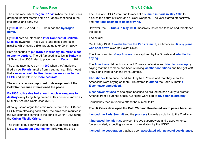#### **The Arms Race**

The arms race, which **began in 1945** (when the Americans dropped the first atomic bomb on Japan) continued in the late 1950s and early 60s.

By **1953** the USA and USSR both had the **hydrogen bomb.**

By **1960** both countries had **Inter-Continental Ballistic Missiles** (ICBMs). These were land-based strategic missiles which could strike targets up to 6400 km away.

Both sides tried to **put ICBMs in friendly countries close to enemy borders**. The USA placed missiles in **Turkey** in 1959 and the USSR tried to place them in **Cuba** in 1962.

The arms race moved on in **1960** when the Americans fired a new **Polaris** missile from a submarine. This meant that a **missile could be fired from the sea close to the USSR** and therefore be **more accurate.**

**The arms race was important in development of the Cold War because it threatened the peace:**

**By 1960 both sides had enough nuclear weapons to destroy** every living thing on earth. This became known as Mutually Assured Destruction (MAD).

Although some argue the arms race deterred the USA and USSR from attacking each other, the arms race resulted in the two countries coming to the brink of war in 1962 during the **Cuban Missile Crisis.**

The threat of nuclear war during the Cuban Missile Crisis led to **an attempt at disarmament** following the crisis.

#### **The U2 Crisis**

The USA and USSR were due to meet at a **summit in Paris in May 1960** to discuss the future of Berlin and nuclear weapons. The year started off positively and **relations seemed to be improving.**

However, the **U2 Crisis in May 1960**, massively increased tension and threatened the peace.

#### **The crisis:**

On 1st May 1960, **2 weeks before the Paris Summit**, an American **U2 spy plane was shot down** over the Soviet Union.

The American pilot, **Gary Powers**, was captured by the Soviets and **admitted to spying.**

The **Americans** did not know about Powers confession and **tried to cover up** by saying that the U2 plane had been studying **weather conditions** and had got lost! They didn"t want to ruin the Paris Summit.

**Khrushchev** then announced that they had Powers and that they knew the Americans were spying on them. He offered to **attend** the Paris Summit **if Eisenhower apologised.**

**Eisenhower refused** to apologise because he argued he had a duty to protect America from a surprise attack. U2 flights were part of **US defence strategy.**

Khrushchev then refused to attend the summit talks.

**The U2 Crisis developed the Cold War and threatened world peace because:**

It **ended the Paris Summit** and the **progress** towards a solution to the Cold War.

It **increased the mistrus**t between the two superpowers and placed American forces on alert, expecting some form of retaliation by the USSR.

It **ended the cooperation** that had been **associated with peaceful coexistence**.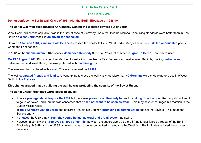# **The Berlin Crisis, 1961**

# **The Berlin Wall**

# **Do not confuse the Berlin Wall Crisis of 1961 with the Berlin Blockade of 1948-49.**

#### **The Berlin Wall was built because Khrushchev wanted the Western powers out of Berlin.**

West Berlin (which was capitalist) was in the Soviet zone of Germany. As a result of the Marshall Plan living standards were better than in East Berlin so **West Berlin** was like **an advert for capitalism.**

Between **1945 and 1961, 2 million East Berliners** crossed the border to live in West Berlin. Many of those were **skilled or educated** people whom the East needed.

In 1961 at the **Vienna summit**, Khrushchev **demanded Kennedy** (the new President of America) **give up Berlin**, Kennedy refused.

**On 13th August 1961,** Khrushchev then decided to make it impossible for East Berliners to travel to West Berlin by placing **barbed wire** between East and West Berlin; this was protected with **machine guns.**

The wire was then replaced with a **wall.** This wall remained until **1989.**

The wall **separated friends and family**. Anyone trying to cross the wall was shot. More than **40 Germans** were shot trying to cross into West Berlin in the **first year.**

**Khrushchev argued that by building the wall he was protecting the security of the Soviet Union.**

#### **The Berlin Crisis threatened world peace because:**

- x It was a **propaganda victory for the USA** but there was **pressure on Kennedy to** react by **taking direct action**. Kennedy did not want to go to war over Berlin, but he was concerned that he **did not want to be seen as weak**. This may have encouraged his reaction in the Cuban Missile Crisis.
- x In **1963 Kennedy visited Berlin** and declared "Ich bin ein Berliner" **promising to defend Berlin** against the Soviets. This made the Soviets angry.
- x It **showed** the USA that **Khrushchev could be just as cruel and brutal system** as Stalin.
- x However in some ways **it removed an area of conflict** between the superpowers as the USA no longer feared a repeat of the Berlin Blockade (1948-49) and the USSR showed it was no longer committed to removing the West from Berlin. It also reduced the number of defectors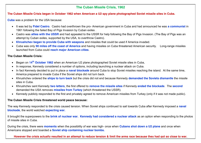# **The Cuban Missile Crisis, 1962**

#### **The Cuban Missile Crisis began in October 1962 when American a U2 spy plane photographed Soviet missile sites in Cuba.**

**Cuba** was a problem for the USA because:

- x It was led by **Fidel Castro**. Castro had overthrown the pro- American government in Cuba and had announced he was **a communist** in 1961 following the failed Bay of Pigs Invasion by Cuban exiles .
- x Castro was **allies with the USSR** and had appealed to the USSR for help following the Bay of Pigs Invasion. (The Bay of Pigs was an attempt by Cuban exiles, supported by the USA, to overthrow Castro).
- x **Khrushchev began to provide Cuba with weapons** and missiles that could be used if America invaded.
- x Cuba was only **90 miles off the coast of America** and having missiles on Cuba threatened American security. Long-range missiles launched from Cuba could **reach major American cities**.

#### **The Cuban Missile Crisis:**

- x Began on **14th October 1962** when an American U2 plane photographed Soviet missile sites in Cuba,
- In response, Kennedy considered a number of options, including launching a nuclear attack on Cuba.
- x In fact Kennedy decided to put in place a **naval blockade** around Cuba to stop Soviet missiles reaching the island. At the same time, America prepared to invade Cuba if the Soviet ships did not turn back.
- x Khrushchev ordered the **ships to turn back** but the crisis did not end because Kennedy **demanded the Soviets dismantle** the missile sites in Cuba.
- x Khrushchev sent Kennedy **two letters**, the first offered to **remove the missile sites** if Kennedy **ended the blockade**. The **second**  demanded the USA removes **missiles from Turkey** (which threatened the USSR).
- Kennedy publicly responded to the first and privately agreed to remove American missiles from Turkey (only if it was not made public).

#### **The Cuban Missile Crisis threatened world peace because:**

The way Kennedy responded to the crisis caused tension. When Soviet ships continued to sail towards Cuba after Kennedy imposed a **naval blockade**, the world watched **expecting war.**

It brought the superpowers to the **brink of nuclear war. Kennedy had considered a nuclear attack** as an option when responding to the photos of missile sites in Cuba.

During the crisis, there were **moments** when the possibility of war was high- once when **Cubans shot down a U2 plane** and once when Americans stopped and boarded a **Soviet ship containing nuclear bombs.**

**However the crisis actually resulted in an attempt to reduce tension & limit the arms race because they had got so close to war.**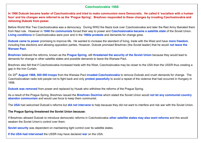#### **Czechoslovakia 1968**

**In 1968 Dubcek became leader of Czechoslovakia and tried to make communism more Democratic. He called it "socialism with a human face" and his changes were referred to as the "Prague Spring". Brezhnev responded to these changes by invading Czechoslovakia and removing Dubcek from power.**

Before World War Two Czechoslovakia was a democracy. During WW2 the Nazis took over Czechoslovakia and later the Red Army liberated them from Nazi rule. However in **1948** the **communists** forced their way to power and **Czechoslovakia became a satellite state** of the Soviet Union. **Living conditions** in Czechoslovakia were poor and in the **1960s protests** and demands for change grew.

**Dubcek came to power** promising to improve life. He wanted to increase the standard of living, trade with the West and have **more freedom**, including free elections and allowing opposition parties. However, Dubcek promised Brezhnev (the Soviet leader) that he would **not leave the Warsaw Pact.**

**Brezhnev** believed the reforms, known as the **Prague Spring**, still **threatened the security of the Soviet Union** because they would lead to demands for change in other satellite states and possible demands to leave the Warsaw Pact.

Brezhnev also felt that if Czechoslovakia increased trade with the West, Czechoslovakia may be closer to the USA than the USSR thus creating a gap in the Iron Curtain.

On 20<sup>th</sup> August 1968, 500 000 troops from the Warsaw Pact *invaded Czechoslovakia* to remove Dubcek and crush demands for change. The Czechoslovakian radio told people not to fight back and only **protest peacefully** to avoid a repeat of the violence that had occurred in Hungary in 1956.

**Dubcek was removed** from power and replaced by Husak who withdrew the reforms of the Prague Spring.

As a result of the Prague Spring, Brezhnev issued the **Brezhnev Doctrine** which stated the Soviet Union would **not let any communist country abandon communism** and would use force to keep them communist.

The **USA** had welcomed Dubcek"s reforms but **did not intervene** to help because they did not want to interfere and risk war with the Soviet Union.

#### **The Prague Spring threatened the Soviet Union because:**

If Brezhnev allowed Dubcek to introduce democratic reforms in Czechoslovakia **other satellite states may also want reforms** and this would weaken the Soviet Union's control over them.

**Soviet security** was dependent on maintaining tight control over its satellite states.

**If the USA had intervened** the USSR may have declared **war** on the USA.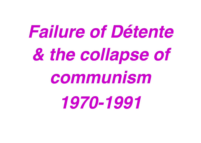# *Failure of Détente & the collapse of communism 1970-1991*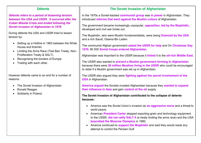#### **Détente**

*Détente refers to a period of lessening tension between the USA and USSR. It occurred after the Cuban Missile Crisis and ended following the Soviet invasion of Afghanistan in 1979.*

During détente the USA and USSR tried to lessen tension by:

- Setting up a Hotline in 1963 between the White House and Kremlin.
- Limiting the Arms Race (Test Ban Treaty, Non-Proliferation Treaty & SALT).
- Recognising the borders of Europe
- $\bullet$  Trading with each other.

However détente came to an end for a number of reasons:

- The Soviet Invasion of Afghanistan
- Ronald Reagan
- Solidarity in Poland.

# **The Soviet Invasion of Afghanistan**

In the 1970s a Soviet-backed **communist group** was **in power** in Afghanistan. They introduced **reforms that went against the Muslim culture** of Afghanistan.

The government became increasingly unpopular, **opposition, led by the Mujahidin,** developed and civil war broke out.

The Mujahidin, who were Muslim fundamentalists, were being **financed by the USA** and a rich Saudi, Osama Bin Laden.

The communist Afghan government **asked the USSR for help** and On **Christmas Day 1979**, 80 000 **Soviet troops entered Afghanistan**.

Afghanistan was important to the USSR because it **linked** it to the **oil-rich Middle East.**

The USSR also wanted to **prevent a Muslim government forming in Afghanistan** because there were **30 million Muslims living in the USSR** who could be encouraged to rebel if a Muslim government was set up in Afghanistan.

The USSR also argued they were **fighting against the secret involvement of the USA** in Afghanistan.

**America argued** the Soviets invaded Afghanistan because they **wanted to expand their influence in Asia** and gain **control of the oil** supply.

**The Soviet Invasion of Afghanistan contributed to the collapse of detente because:**

- **EXE** America saw the Soviet Union's invasion as **an aggressive move** and a threat to world peace.
- American **President Carter** stopped exporting grain and technology equipment to the USSR, **did not ratify SALT II** (a treaty limiting the arms race) and the USA **boycotted the Moscow Olympics** in 1980.
- America continued to **support the Mujahidin** and said they would resist any attempt to control the Persian Gulf.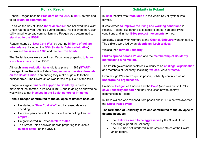#### **Ronald Reagan**

Ronald Reagan became **President of the USA** in **1981**, determined to be **tough on communism.**

He called the Soviet Union **the "evil empire"** and believed the Soviet Union had deceived America during detente. He believed the USSR still wanted to spread communism and Reagan was determined to **stand up to the USSR**.

Reagan started a **"New Cold War"** by pouring **billions of dollars into defence**, including the **SDI (Strategic Defence Initiative**) known as **Star Wars in 1983** and the **neutron bomb.**

The Soviet leaders were convinced Regan was preparing to **launch a nuclear attack** on the USSR.

Although **arms reduction talks** did take place in 1982 (**START**-Strategic Arms Reduction Talks) **Reagan made massive demands on the Soviet Union**, demanding they make huge cuts to their nuclear arms. The Soviet Union was forced to pull out of the talks.

Reagan also gave **financial support to Solidarity**, a protest movement that formed in Poland in 1980, and in doing so showed he was willing to get **involved in the Soviet sphere of influence.**

#### **Ronald Reagan contributed to the collapse of detente because:**

- x He started a **"New Cold War"** and increased defence spending.
- He was openly critical of the Soviet Union calling it an 'evil **empire".**
- x He got involved in Soviet **satellite states**
- The Soviet Union believed he was preparing to launch a **nuclear attack** on the USSR.

In **1980** the first free **trade union** in the whole Soviet system was formed.

It was formed **to improve the living and working conditions** in Poland. Poland, like other Soviet satellite states, had poor living conditions and in the **1980s protest movements** formed.

Solidarity began when workers at the **Gdansk Shipyard** went on strike. The strikers were led by an **electrician, Lech Walesa**.

Walesa then **formed Solidarity**.

**Strikes spread across Poland** and the **membership of Solidarity increased to nine million.**

The Polish government declared Solidarity to be **an illegal organisation** and members of Solidarity, including **Walesa**, were **arrested.**

Even though Walesa was put in prison, Solidarity continued as an **underground organisation.**

President **Reagan** of America and the **Pope** (who was himself Polish) **gave Solidarity support** and they discussed how to destroy communism in Poland.

In 1982 Walesa was released from prison and in 1983 he was awarded the **Nobel Peace Prize.**

**The formation of Solidarity in Poland contributed to the collapse of détente because:**

- **•** The USA was seen to be aggressive by the Soviet Union providing support for Solidarity.
- The USA had not interfered in the satellite states of the Soviet Union before.

# **Solidarity in Poland**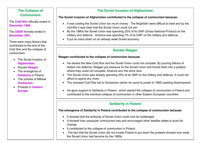# **The Collapse of Communism**

The **Cold War** officially ended in **December 1989.**

The **USSR** formally ended in **December 1991.**

There were many factors that contributed to the end of the Cold War and the collapse of communism:

- $\bullet$  The Soviet invasion of **Afghanistan.**
- **•** Ronald **Reagan**
- The emergence of **Solidarity** in Poland.
- $\bullet$  The policies of Mikhail **Gorbachev**.
- **•** Protests in **Eastern Europe.**

# **The Soviet Invasion of Afghanistan**

#### **The Soviet invasion of Afghanistan contributed to the collapse of communism because:**

- It was costing the Soviet Union too much money. The Mujahidin were difficult to beat and by the mid-80s it was clear that the Soviet Union could not win.
- By the 1980s the Soviet Union was spending 25% of its GNP (Gross National Product) on the military and defence. America was spending 7% of its GNP on the military and defence.
- It put an extra strain on an already weak Soviet economy.

# **Ronald Reagan**

#### **Reagan contributed to the collapse of communism because:**

- He started the New Cold War and the Soviet Union could not compete. By pouring billions of dollars into defence, Reagan put pressure on the Soviet Union and forced them into a position where they could not compete. America won the arms race.
- The Soviet Union was already spending 25% of its GNP on the military and defence. It could not afford to spend any more.
- The renewed Cold War led to Gorbachev (when he came to power in 1985) seeking disarmament.
- He gave support to Solidarity in Poland, which started the collapse of communism in Poland and contributed to the eventual collapse of communism in other Eastern European countries.

# **Solidarity in Poland**

#### **The emergence of Solidarity in Poland contributed to the collapse of communism because:**

- It showed that the authority of Soviet Union could now be challenged.
- It showed how unpopular communism was and encouraged other satellite states to push for change.
- It contributed to the collapse of communism in Poland.
- The fact that the Soviet Union did not invade Poland to put down the protests showed how weak the Soviet Union had become by the 1980s.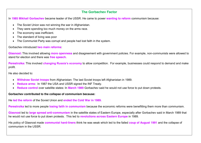# **The Gorbachev Factor**

In **1985 Mikhail Gorbachev** became leader of the USSR. He came to power **wanting to reform** communism because:

- The Soviet Union was not winning the war in Afghanistan.
- They were spending too much money on the arms race.
- The economy was inefficient.
- The standard of living was poor
- The Communist Party was corrupt and people had lost faith in the system.

#### Gorbachev introduced **two main reforms**:

**Glasnost:** This involved allowing **more openness** and disagreement with government policies. For example, non-communists were allowed to stand for election and there was **free speech.**

**Perestroika:** This involved **changing Russia"s economy** to allow competition. For example, businesses could respond to demand and make profit.

He also decided to:

- **Withdraw Soviet troops** from Afghanistan: The last Soviet troops left Afghanistan in 1989.
- **Reduce arms**: In 1987 the USA and USSR signed the INF Treaty.
- x **Reduce control** over satellite states: In **March 1989** Gorbachev said he would not use force to put down protests.

#### **Gorbachev contributed to the collapse of communism because:**

He **led the reform** of the Soviet Union and **ended the Cold War in 1989.**

**Perestroika** led to more people **losing faith in communism** because the economic reforms were benefitting them more than communism.

**Glasnos**t led to **large spread anti-communism** in the satellite states of Eastern Europe, especially after Gorbachev said in March 1989 that he would not use force to put down protests. This led to **revolutions across Eastern Europe** in 1989.

His policy of Glasnost made **communist hard-liners** think he was weak which led to the failed **coup of August 1991** and the collapse of communism in the USSR.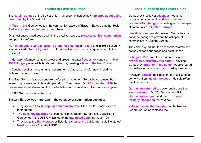#### **Events in Eastern Europe**

The **satellite states** of the Soviet Union had become increasingly **unhappy about being controlled** by the Soviet Union.

In **March 1989** Gorbachev told the communist leaders of Eastern Europe that the Soviet **Red Army would no longer protect** them.

Glasnost encouraged people within the satellite states to **protests against communism**  and push for reform.

**Non-communists were allowed to stand for election** in **Poland** and in 1989 Solidarity was legalised. **Solidarity** went on to form the first non-communist government in the Soviet Bloc.

In Hungary reformers came to power and brought greater freedom to Hungary. In **May 1989 Hungary** opened its border with **Austria**, creating a **hole in the Iron Curtain.**

In Czechoslovakia the communist government collapsed and reformers, including Dubcek, came to power.

The East German leader, Honecker, refused to implement Gorbachev"s refused but increasing protests led to him stepping down from power. On **9th November 1989** the **Berlin Wall came down** and the border between East and West Germany was opened.

In 1990 Germany was united again.

**Eastern Europe was important in the collapse of communism because:**

- They showed how *unpopular communism* was. Glasnost let people express their hatred.
- The **quick disintegration** of communism in Eastern Europe led to criticism of Gorbachev in the USSR which led to the **attempted coup** in August 1991.
- They led to the **Baltic states** of Estonia, Lithuania and Latvia (non-satellite states) **breaking away** from the USSR.

# **The Collapse of the Soviet Union**

Gorbachev"s policy of **Glasnost** meant that criticism became public and this increased **demands for change** culminating in the **collapse** of communism in **Eastern Europe.**

**Hard-line communists** believed Gorbachev had not done enough to prevent the collapse of communism in Eastern Europe.

They also argued that the economic reforms had not solved food shortages and rising prices.

In **August 1991** hard line communists tried to **overthrow Gorbachev in a coup.** They kept Gorbachev **prisoner in his home**. People feared that old-style communism was making a return.

However, **Yeltsin**, the President of Russia, led a demonstration **against the coup**. He said reform had to continue.

**Gorbachev returned** to power but his position was **weakened.** On 25<sup>th</sup> December 1991 **Gorbachev resigned** and the **USSR was formally disbanded** the next day.

**Yeltsin became the President** of the Russian Federation, which replaced the USSR.